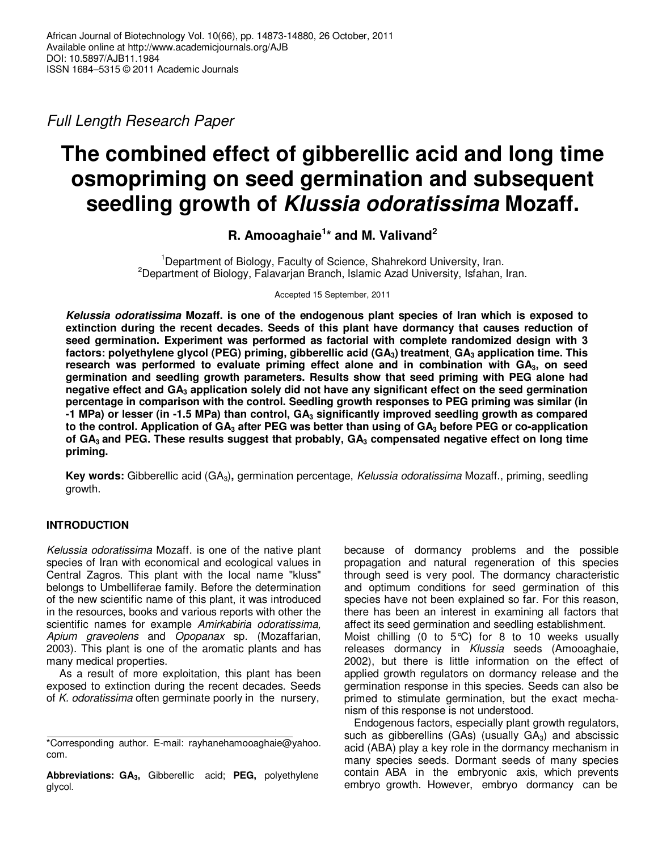Full Length Research Paper

# **The combined effect of gibberellic acid and long time osmopriming on seed germination and subsequent seedling growth of Klussia odoratissima Mozaff.**

# **R. Amooaghaie<sup>1</sup> \* and M. Valivand<sup>2</sup>**

<sup>1</sup>Department of Biology, Faculty of Science, Shahrekord University, Iran. <sup>2</sup>Department of Biology, Falavarjan Branch, Islamic Azad University, Isfahan, Iran.

Accepted 15 September, 2011

**Kelussia odoratissima Mozaff. is one of the endogenous plant species of Iran which is exposed to extinction during the recent decades. Seeds of this plant have dormancy that causes reduction of seed germination. Experiment was performed as factorial with complete randomized design with 3 factors: polyethylene glycol (PEG) priming, gibberellic acid (GA3) treatment, GA3 application time. This research was performed to evaluate priming effect alone and in combination with GA3, on seed germination and seedling growth parameters. Results show that seed priming with PEG alone had negative effect and GA3 application solely did not have any significant effect on the seed germination percentage in comparison with the control. Seedling growth responses to PEG priming was similar (in -1 MPa) or lesser (in -1.5 MPa) than control, GA3 significantly improved seedling growth as compared to the control. Application of GA3 after PEG was better than using of GA3 before PEG or co-application of GA3 and PEG. These results suggest that probably, GA3 compensated negative effect on long time priming.** 

**Key words:** Gibberellic acid (GA3)**,** germination percentage, Kelussia odoratissima Mozaff., priming, seedling growth.

# **INTRODUCTION**

Kelussia odoratissima Mozaff. is one of the native plant species of Iran with economical and ecological values in Central Zagros. This plant with the local name "kluss" belongs to Umbelliferae family. Before the determination of the new scientific name of this plant, it was introduced in the resources, books and various reports with other the scientific names for example Amirkabiria odoratissima, Apium graveolens and Opopanax sp. (Mozaffarian, 2003). This plant is one of the aromatic plants and has many medical properties.

 As a result of more exploitation, this plant has been exposed to extinction during the recent decades. Seeds of  $K$ . odoratissima often germinate poorly in the nursery,

because of dormancy problems and the possible propagation and natural regeneration of this species through seed is very pool. The dormancy characteristic and optimum conditions for seed germination of this species have not been explained so far. For this reason, there has been an interest in examining all factors that affect its seed germination and seedling establishment.

Moist chilling (0 to  $5^{\circ}$ C) for 8 to 10 weeks usually releases dormancy in Klussia seeds (Amooaghaie, 2002), but there is little information on the effect of applied growth regulators on dormancy release and the germination response in this species. Seeds can also be primed to stimulate germination, but the exact mechanism of this response is not understood.

Endogenous factors, especially plant growth regulators, such as gibberellins (GAs) (usually  $GA<sub>3</sub>$ ) and abscissic acid (ABA) play a key role in the dormancy mechanism in many species seeds. Dormant seeds of many species contain ABA in the embryonic axis, which prevents embryo growth. However, embryo dormancy can be

<sup>\*</sup>Corresponding author. E-mail: rayhanehamooaghaie@yahoo. com.

**Abbreviations: GA3,** Gibberellic acid; **PEG,** polyethylene glycol.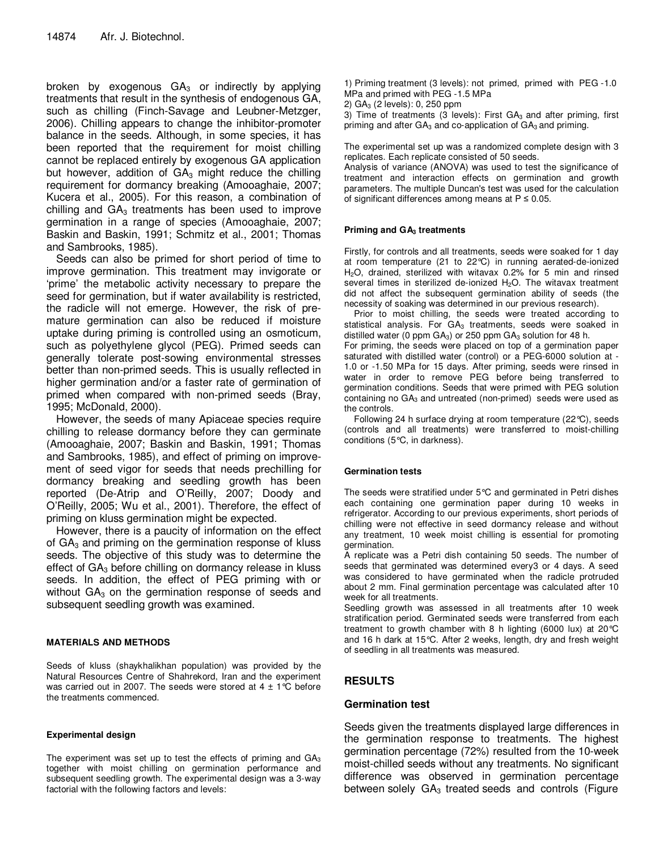broken by exogenous  $GA<sub>3</sub>$  or indirectly by applying treatments that result in the synthesis of endogenous GA, such as chilling (Finch-Savage and Leubner-Metzger, 2006). Chilling appears to change the inhibitor-promoter balance in the seeds. Although, in some species, it has been reported that the requirement for moist chilling cannot be replaced entirely by exogenous GA application but however, addition of  $GA_3$  might reduce the chilling requirement for dormancy breaking (Amooaghaie, 2007; Kucera et al., 2005). For this reason, a combination of chilling and  $GA<sub>3</sub>$  treatments has been used to improve germination in a range of species (Amooaghaie, 2007; Baskin and Baskin, 1991; Schmitz et al., 2001; Thomas and Sambrooks, 1985).

Seeds can also be primed for short period of time to improve germination. This treatment may invigorate or 'prime' the metabolic activity necessary to prepare the seed for germination, but if water availability is restricted, the radicle will not emerge. However, the risk of premature germination can also be reduced if moisture uptake during priming is controlled using an osmoticum, such as polyethylene glycol (PEG). Primed seeds can generally tolerate post-sowing environmental stresses better than non-primed seeds. This is usually reflected in higher germination and/or a faster rate of germination of primed when compared with non-primed seeds (Bray, 1995; McDonald, 2000).

However, the seeds of many Apiaceae species require chilling to release dormancy before they can germinate (Amooaghaie, 2007; Baskin and Baskin, 1991; Thomas and Sambrooks, 1985), and effect of priming on improvement of seed vigor for seeds that needs prechilling for dormancy breaking and seedling growth has been reported (De-Atrip and O'Reilly, 2007; Doody and O'Reilly, 2005; Wu et al., 2001). Therefore, the effect of priming on kluss germination might be expected.

However, there is a paucity of information on the effect of  $GA<sub>3</sub>$  and priming on the germination response of kluss seeds. The objective of this study was to determine the effect of GA<sub>3</sub> before chilling on dormancy release in kluss seeds. In addition, the effect of PEG priming with or without  $GA<sub>3</sub>$  on the germination response of seeds and subsequent seedling growth was examined.

#### **MATERIALS AND METHODS**

Seeds of kluss (shaykhalikhan population) was provided by the Natural Resources Centre of Shahrekord, Iran and the experiment was carried out in 2007. The seeds were stored at  $4 \pm 1^{\circ}C$  before the treatments commenced.

#### **Experimental design**

The experiment was set up to test the effects of priming and  $GA_3$ together with moist chilling on germination performance and subsequent seedling growth. The experimental design was a 3-way factorial with the following factors and levels:

1) Priming treatment (3 levels): not primed, primed with PEG -1.0 MPa and primed with PEG -1.5 MPa

2)  $GA_3$  (2 levels): 0, 250 ppm

3) Time of treatments (3 levels): First  $GA_3$  and after priming, first priming and after  $GA_3$  and co-application of  $GA_3$  and priming.

The experimental set up was a randomized complete design with 3 replicates. Each replicate consisted of 50 seeds.

Analysis of variance (ANOVA) was used to test the significance of treatment and interaction effects on germination and growth parameters. The multiple Duncan's test was used for the calculation of significant differences among means at  $P \le 0.05$ .

#### **Priming and GA3 treatments**

Firstly, for controls and all treatments, seeds were soaked for 1 day at room temperature (21 to 22°C) in running aerated-de-ionized H2O, drained, sterilized with witavax 0.2% for 5 min and rinsed several times in sterilized de-ionized  $H<sub>2</sub>O$ . The witavax treatment did not affect the subsequent germination ability of seeds (the necessity of soaking was determined in our previous research).

Prior to moist chilling, the seeds were treated according to statistical analysis. For GA<sub>3</sub> treatments, seeds were soaked in distilled water (0 ppm  $GA_3$ ) or 250 ppm  $GA_3$  solution for 48 h.

For priming, the seeds were placed on top of a germination paper saturated with distilled water (control) or a PEG-6000 solution at - 1.0 or -1.50 MPa for 15 days. After priming, seeds were rinsed in water in order to remove PEG before being transferred to germination conditions. Seeds that were primed with PEG solution containing no  $GA_3$  and untreated (non-primed) seeds were used as the controls.

Following 24 h surface drying at room temperature (22°C), seeds (controls and all treatments) were transferred to moist-chilling conditions (5°C, in darkness).

#### **Germination tests**

The seeds were stratified under 5°C and germinated in Petri dishes each containing one germination paper during 10 weeks in refrigerator. According to our previous experiments, short periods of chilling were not effective in seed dormancy release and without any treatment, 10 week moist chilling is essential for promoting germination.

A replicate was a Petri dish containing 50 seeds. The number of seeds that germinated was determined every3 or 4 days. A seed was considered to have germinated when the radicle protruded about 2 mm. Final germination percentage was calculated after 10 week for all treatments.

Seedling growth was assessed in all treatments after 10 week stratification period. Germinated seeds were transferred from each treatment to growth chamber with 8 h lighting (6000 lux) at 20°C and 16 h dark at 15°C. After 2 weeks, length, dry and fresh weight of seedling in all treatments was measured.

# **RESULTS**

# **Germination test**

Seeds given the treatments displayed large differences in the germination response to treatments. The highest germination percentage (72%) resulted from the 10-week moist-chilled seeds without any treatments. No significant difference was observed in germination percentage between solely  $GA_3$  treated seeds and controls (Figure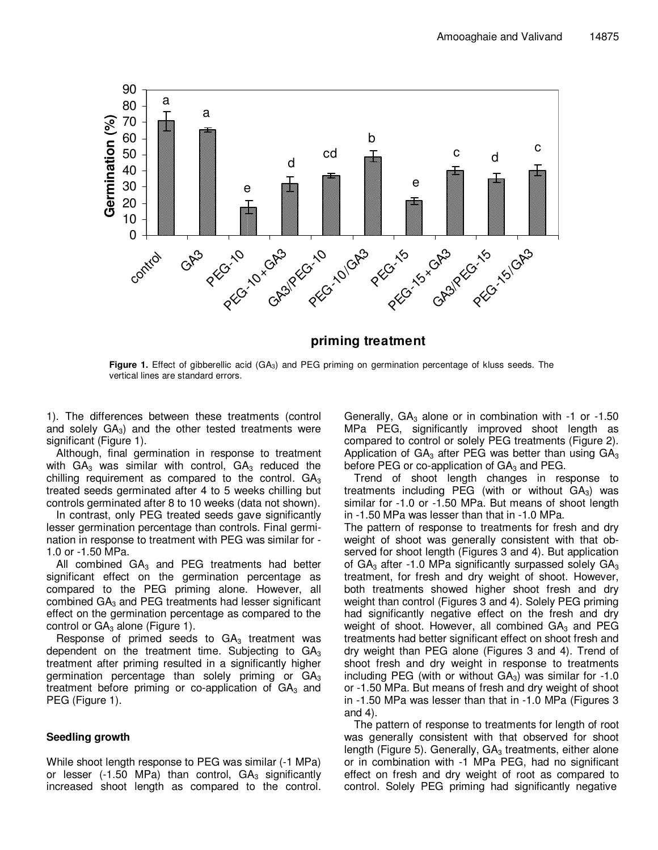

# **priming treatment**

Figure 1. Effect of gibberellic acid (GA<sub>3</sub>) and PEG priming on germination percentage of kluss seeds. The vertical lines are standard errors.

1). The differences between these treatments (control and solely  $GA_3$ ) and the other tested treatments were significant (Figure 1).

Although, final germination in response to treatment with  $GA<sub>3</sub>$  was similar with control,  $GA<sub>3</sub>$  reduced the chilling requirement as compared to the control.  $GA_3$ treated seeds germinated after 4 to 5 weeks chilling but controls germinated after 8 to 10 weeks (data not shown).

In contrast, only PEG treated seeds gave significantly lesser germination percentage than controls. Final germination in response to treatment with PEG was similar for - 1.0 or -1.50 MPa.

All combined  $GA_3$  and PEG treatments had better significant effect on the germination percentage as compared to the PEG priming alone. However, all combined  $GA<sub>3</sub>$  and PEG treatments had lesser significant effect on the germination percentage as compared to the control or  $GA_3$  alone (Figure 1).

Response of primed seeds to  $GA<sub>3</sub>$  treatment was dependent on the treatment time. Subjecting to  $GA_3$ treatment after priming resulted in a significantly higher germination percentage than solely priming or  $GA_3$ treatment before priming or co-application of  $GA_3$  and PEG (Figure 1).

### **Seedling growth**

While shoot length response to PEG was similar (-1 MPa) or lesser (-1.50 MPa) than control,  $GA<sub>3</sub>$  significantly increased shoot length as compared to the control.

Generally,  $GA_3$  alone or in combination with -1 or -1.50 MPa PEG, significantly improved shoot length as compared to control or solely PEG treatments (Figure 2). Application of  $GA_3$  after PEG was better than using  $GA_3$ before PEG or co-application of  $GA<sub>3</sub>$  and PEG.

Trend of shoot length changes in response to treatments including PEG (with or without  $GA_3$ ) was similar for -1.0 or -1.50 MPa. But means of shoot length in -1.50 MPa was lesser than that in -1.0 MPa.

The pattern of response to treatments for fresh and dry weight of shoot was generally consistent with that observed for shoot length (Figures 3 and 4). But application of GA<sub>3</sub> after -1.0 MPa significantly surpassed solely  $GA_3$ treatment, for fresh and dry weight of shoot. However, both treatments showed higher shoot fresh and dry weight than control (Figures 3 and 4). Solely PEG priming had significantly negative effect on the fresh and dry weight of shoot. However, all combined  $GA<sub>3</sub>$  and PEG treatments had better significant effect on shoot fresh and dry weight than PEG alone (Figures 3 and 4). Trend of shoot fresh and dry weight in response to treatments including PEG (with or without  $GA_3$ ) was similar for -1.0 or -1.50 MPa. But means of fresh and dry weight of shoot in -1.50 MPa was lesser than that in -1.0 MPa (Figures 3 and 4).

The pattern of response to treatments for length of root was generally consistent with that observed for shoot length (Figure 5). Generally,  $GA<sub>3</sub>$  treatments, either alone or in combination with -1 MPa PEG, had no significant effect on fresh and dry weight of root as compared to control. Solely PEG priming had significantly negative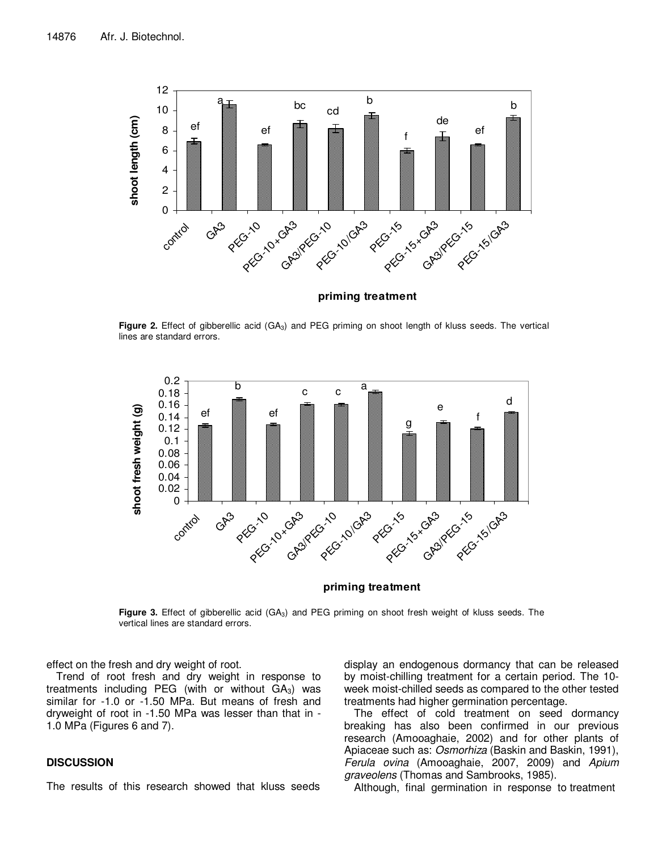

Figure 2. Effect of gibberellic acid (GA<sub>3</sub>) and PEG priming on shoot length of kluss seeds. The vertical lines are standard errors.



#### **priming treatment**

**Figure 3.** Effect of gibberellic acid (GA3) and PEG priming on shoot fresh weight of kluss seeds. The vertical lines are standard errors.

effect on the fresh and dry weight of root.

Trend of root fresh and dry weight in response to treatments including PEG (with or without  $GA_3$ ) was similar for -1.0 or -1.50 MPa. But means of fresh and dryweight of root in -1.50 MPa was lesser than that in - 1.0 MPa (Figures 6 and 7).

### **DISCUSSION**

The results of this research showed that kluss seeds

display an endogenous dormancy that can be released by moist-chilling treatment for a certain period. The 10 week moist-chilled seeds as compared to the other tested treatments had higher germination percentage.

The effect of cold treatment on seed dormancy breaking has also been confirmed in our previous research (Amooaghaie, 2002) and for other plants of Apiaceae such as: Osmorhiza (Baskin and Baskin, 1991), Ferula ovina (Amooaghaie, 2007, 2009) and Apium graveolens (Thomas and Sambrooks, 1985).

Although, final germination in response to treatment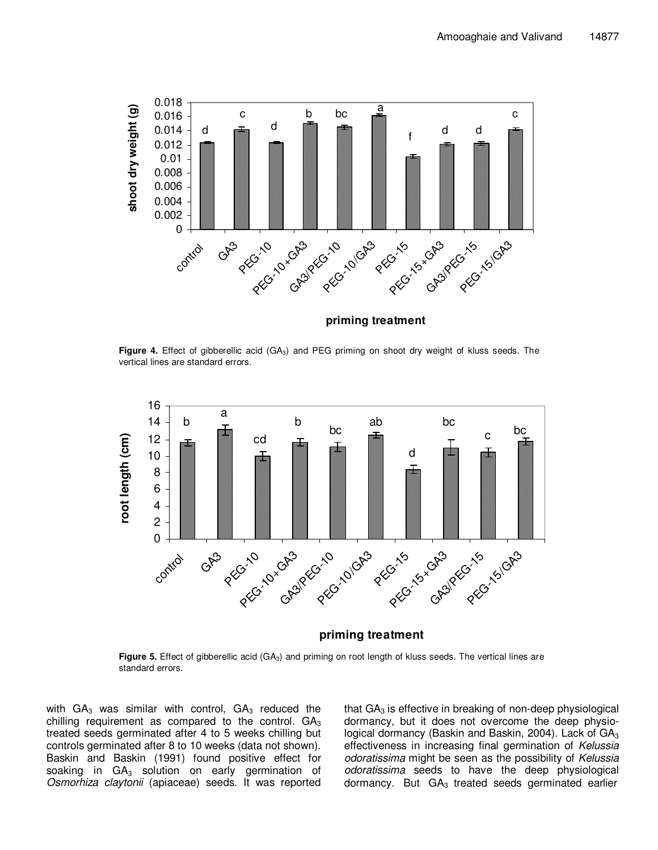

**Figure 4.** Effect of gibberellic acid (GA<sub>3</sub>) and PEG priming on shoot dry weight of kluss seeds. The vertical lines are standard errors.



**priming treatment**

**Figure 5.** Effect of gibberellic acid (GA<sub>3</sub>) and priming on root length of kluss seeds. The vertical lines are standard errors.

with  $GA_3$  was similar with control,  $GA_3$  reduced the chilling requirement as compared to the control.  $GA_3$ treated seeds germinated after 4 to 5 weeks chilling but controls germinated after 8 to 10 weeks (data not shown). Baskin and Baskin (1991) found positive effect for soaking in  $GA_3$  solution on early germination of Osmorhiza claytonii (apiaceae) seeds. It was reported

that  $GA<sub>3</sub>$  is effective in breaking of non-deep physiological dormancy, but it does not overcome the deep physiological dormancy (Baskin and Baskin, 2004). Lack of  $GA<sub>3</sub>$ effectiveness in increasing final germination of Kelussia odoratissima might be seen as the possibility of Kelussia odoratissima seeds to have the deep physiological dormancy. But  $GA_3$  treated seeds germinated earlier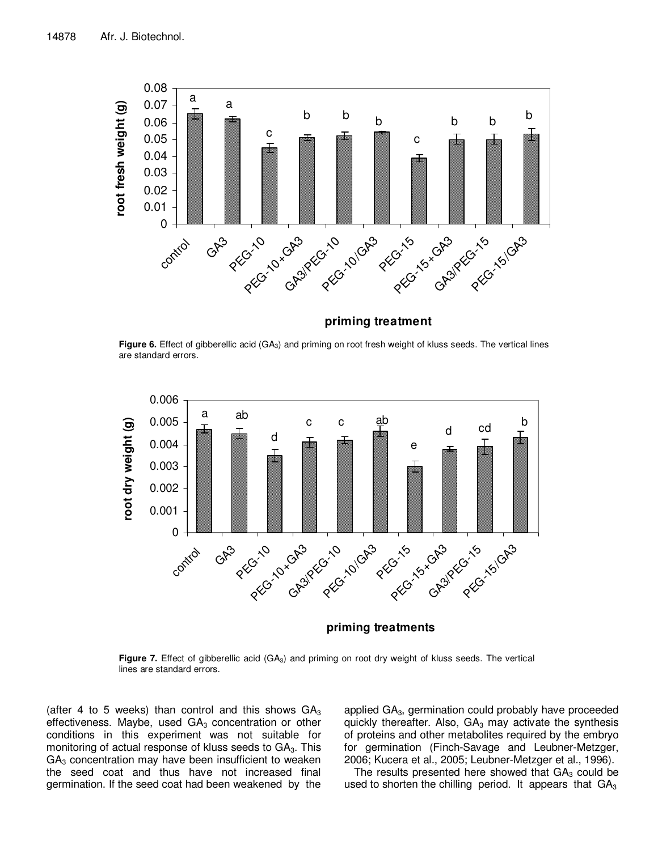

**priming treatment**

**Figure 6.** Effect of gibberellic acid (GA<sub>3</sub>) and priming on root fresh weight of kluss seeds. The vertical lines are standard errors.



**priming treatments**

Figure 7. Effect of gibberellic acid (GA<sub>3</sub>) and priming on root dry weight of kluss seeds. The vertical lines are standard errors.

(after 4 to 5 weeks) than control and this shows  $GA_3$ effectiveness. Maybe, used  $GA<sub>3</sub>$  concentration or other conditions in this experiment was not suitable for monitoring of actual response of kluss seeds to  $GA<sub>3</sub>$ . This  $GA<sub>3</sub>$  concentration may have been insufficient to weaken the seed coat and thus have not increased final germination. If the seed coat had been weakened by the

applied  $GA<sub>3</sub>$ , germination could probably have proceeded quickly thereafter. Also,  $GA_3$  may activate the synthesis of proteins and other metabolites required by the embryo for germination (Finch-Savage and Leubner-Metzger, 2006; Kucera et al., 2005; Leubner-Metzger et al., 1996).

The results presented here showed that  $GA<sub>3</sub>$  could be used to shorten the chilling period. It appears that  $GA_3$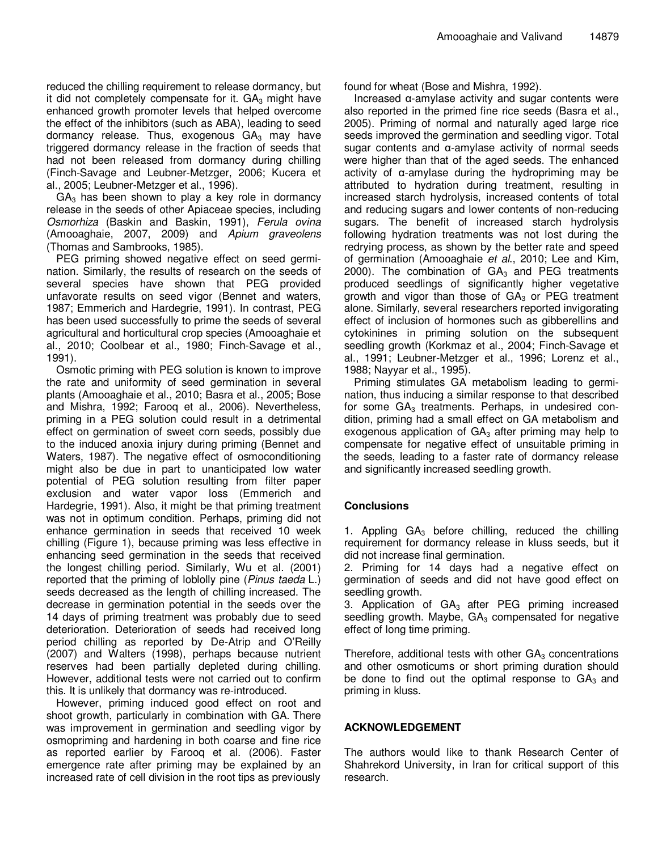reduced the chilling requirement to release dormancy, but it did not completely compensate for it.  $GA<sub>3</sub>$  might have enhanced growth promoter levels that helped overcome the effect of the inhibitors (such as ABA), leading to seed dormancy release. Thus, exogenous  $GA<sub>3</sub>$  may have triggered dormancy release in the fraction of seeds that had not been released from dormancy during chilling (Finch-Savage and Leubner-Metzger, 2006; Kucera et al., 2005; Leubner-Metzger et al., 1996).

 $GA<sub>3</sub>$  has been shown to play a key role in dormancy release in the seeds of other Apiaceae species, including Osmorhiza (Baskin and Baskin, 1991), Ferula ovina (Amooaghaie, 2007, 2009) and Apium graveolens (Thomas and Sambrooks, 1985).

PEG priming showed negative effect on seed germination. Similarly, the results of research on the seeds of several species have shown that PEG provided unfavorate results on seed vigor (Bennet and waters, 1987; Emmerich and Hardegrie, 1991). In contrast, PEG has been used successfully to prime the seeds of several agricultural and horticultural crop species (Amooaghaie et al., 2010; Coolbear et al., 1980; Finch-Savage et al., 1991).

Osmotic priming with PEG solution is known to improve the rate and uniformity of seed germination in several plants (Amooaghaie et al., 2010; Basra et al., 2005; Bose and Mishra, 1992; Farooq et al., 2006). Nevertheless, priming in a PEG solution could result in a detrimental effect on germination of sweet corn seeds, possibly due to the induced anoxia injury during priming (Bennet and Waters, 1987). The negative effect of osmoconditioning might also be due in part to unanticipated low water potential of PEG solution resulting from filter paper exclusion and water vapor loss (Emmerich and Hardegrie, 1991). Also, it might be that priming treatment was not in optimum condition. Perhaps, priming did not enhance germination in seeds that received 10 week chilling (Figure 1), because priming was less effective in enhancing seed germination in the seeds that received the longest chilling period. Similarly, Wu et al. (2001) reported that the priming of loblolly pine (Pinus taeda L.) seeds decreased as the length of chilling increased. The decrease in germination potential in the seeds over the 14 days of priming treatment was probably due to seed deterioration. Deterioration of seeds had received long period chilling as reported by De-Atrip and O'Reilly (2007) and Walters (1998), perhaps because nutrient reserves had been partially depleted during chilling. However, additional tests were not carried out to confirm this. It is unlikely that dormancy was re-introduced.

However, priming induced good effect on root and shoot growth, particularly in combination with GA. There was improvement in germination and seedling vigor by osmopriming and hardening in both coarse and fine rice as reported earlier by Farooq et al. (2006). Faster emergence rate after priming may be explained by an increased rate of cell division in the root tips as previously found for wheat (Bose and Mishra, 1992).

Increased α-amylase activity and sugar contents were also reported in the primed fine rice seeds (Basra et al., 2005). Priming of normal and naturally aged large rice seeds improved the germination and seedling vigor. Total sugar contents and α-amylase activity of normal seeds were higher than that of the aged seeds. The enhanced activity of α-amylase during the hydropriming may be attributed to hydration during treatment, resulting in increased starch hydrolysis, increased contents of total and reducing sugars and lower contents of non-reducing sugars. The benefit of increased starch hydrolysis following hydration treatments was not lost during the redrying process, as shown by the better rate and speed of germination (Amooaghaie et al., 2010; Lee and Kim, 2000). The combination of  $GA<sub>3</sub>$  and PEG treatments produced seedlings of significantly higher vegetative growth and vigor than those of  $GA<sub>3</sub>$  or PEG treatment alone. Similarly, several researchers reported invigorating effect of inclusion of hormones such as gibberellins and cytokinines in priming solution on the subsequent seedling growth (Korkmaz et al., 2004; Finch-Savage et al., 1991; Leubner-Metzger et al., 1996; Lorenz et al., 1988; Nayyar et al., 1995).

Priming stimulates GA metabolism leading to germination, thus inducing a similar response to that described for some  $GA_3$  treatments. Perhaps, in undesired condition, priming had a small effect on GA metabolism and exogenous application of  $GA_3$  after priming may help to compensate for negative effect of unsuitable priming in the seeds, leading to a faster rate of dormancy release and significantly increased seedling growth.

# **Conclusions**

1. Appling  $GA_3$  before chilling, reduced the chilling requirement for dormancy release in kluss seeds, but it did not increase final germination.

2. Priming for 14 days had a negative effect on germination of seeds and did not have good effect on seedling growth.

3. Application of  $GA_3$  after PEG priming increased seedling growth. Maybe,  $GA<sub>3</sub>$  compensated for negative effect of long time priming.

Therefore, additional tests with other  $GA<sub>3</sub>$  concentrations and other osmoticums or short priming duration should be done to find out the optimal response to  $GA_3$  and priming in kluss.

# **ACKNOWLEDGEMENT**

The authors would like to thank Research Center of Shahrekord University, in Iran for critical support of this research.